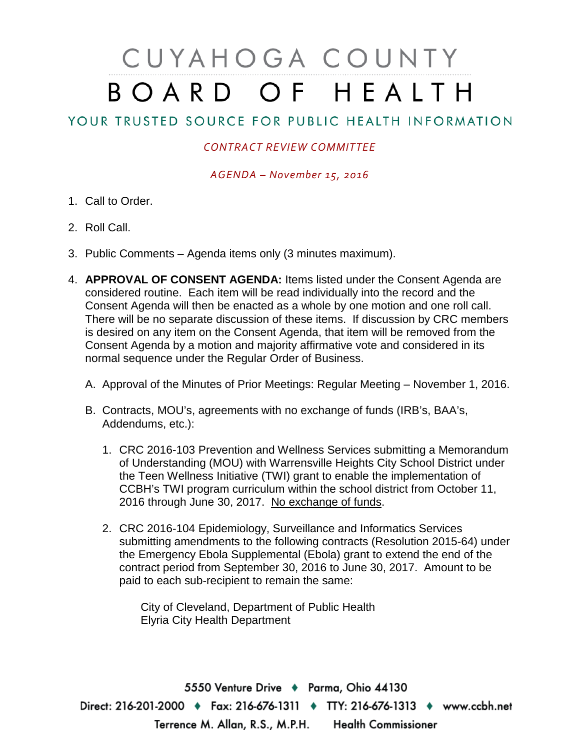## CUYAHOGA COUNTY BOARD OF HEALTH

## YOUR TRUSTED SOURCE FOR PUBLIC HEALTH INFORMATION

## *CONTRACT REVIEW COMMITTEE*

*AGENDA – November 15, 2016*

- 1. Call to Order.
- 2. Roll Call.
- 3. Public Comments Agenda items only (3 minutes maximum).
- 4. **APPROVAL OF CONSENT AGENDA:** Items listed under the Consent Agenda are considered routine. Each item will be read individually into the record and the Consent Agenda will then be enacted as a whole by one motion and one roll call. There will be no separate discussion of these items. If discussion by CRC members is desired on any item on the Consent Agenda, that item will be removed from the Consent Agenda by a motion and majority affirmative vote and considered in its normal sequence under the Regular Order of Business.
	- A. Approval of the Minutes of Prior Meetings: Regular Meeting November 1, 2016.
	- B. Contracts, MOU's, agreements with no exchange of funds (IRB's, BAA's, Addendums, etc.):
		- 1. CRC 2016-103 Prevention and Wellness Services submitting a Memorandum of Understanding (MOU) with Warrensville Heights City School District under the Teen Wellness Initiative (TWI) grant to enable the implementation of CCBH's TWI program curriculum within the school district from October 11, 2016 through June 30, 2017. No exchange of funds.
		- 2. CRC 2016-104 Epidemiology, Surveillance and Informatics Services submitting amendments to the following contracts (Resolution 2015-64) under the Emergency Ebola Supplemental (Ebola) grant to extend the end of the contract period from September 30, 2016 to June 30, 2017. Amount to be paid to each sub-recipient to remain the same:

City of Cleveland, Department of Public Health Elyria City Health Department

5550 Venture Drive + Parma, Ohio 44130 Direct: 216-201-2000 • Fax: 216-676-1311 • TTY: 216-676-1313 • www.ccbh.net Terrence M. Allan, R.S., M.P.H. Health Commissioner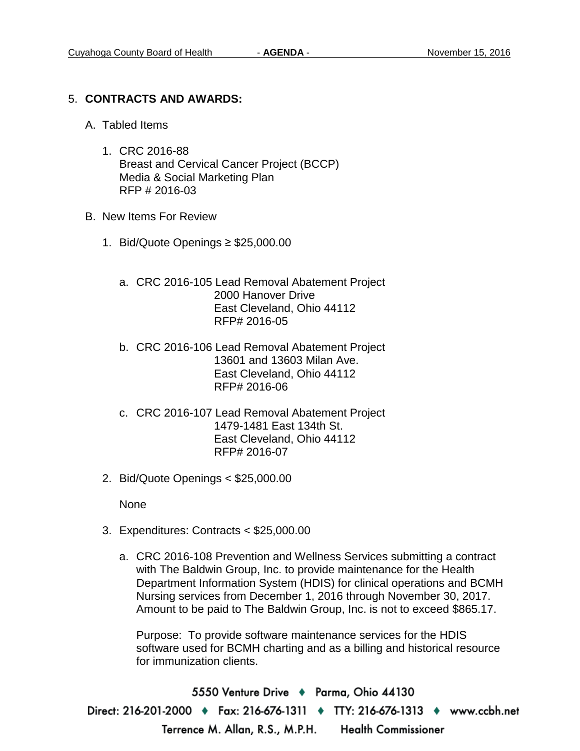## 5. **CONTRACTS AND AWARDS:**

- A. Tabled Items
	- 1. CRC 2016-88 Breast and Cervical Cancer Project (BCCP) Media & Social Marketing Plan RFP # 2016-03
- B. New Items For Review
	- 1. Bid/Quote Openings ≥ \$25,000.00
		- a. CRC 2016-105 Lead Removal Abatement Project 2000 Hanover Drive East Cleveland, Ohio 44112 RFP# 2016-05
		- b. CRC 2016-106 Lead Removal Abatement Project 13601 and 13603 Milan Ave. East Cleveland, Ohio 44112 RFP# 2016-06
		- c. CRC 2016-107 Lead Removal Abatement Project 1479-1481 East 134th St. East Cleveland, Ohio 44112 RFP# 2016-07
	- 2. Bid/Quote Openings < \$25,000.00

None

- 3. Expenditures: Contracts < \$25,000.00
	- a. CRC 2016-108 Prevention and Wellness Services submitting a contract with The Baldwin Group, Inc. to provide maintenance for the Health Department Information System (HDIS) for clinical operations and BCMH Nursing services from December 1, 2016 through November 30, 2017. Amount to be paid to The Baldwin Group, Inc. is not to exceed \$865.17.

Purpose: To provide software maintenance services for the HDIS software used for BCMH charting and as a billing and historical resource for immunization clients.

5550 Venture Drive + Parma, Ohio 44130 Direct: 216-201-2000 ♦ Fax: 216-676-1311 ♦ TTY: 216-676-1313 ♦ www.ccbh.net Terrence M. Allan, R.S., M.P.H. Health Commissioner